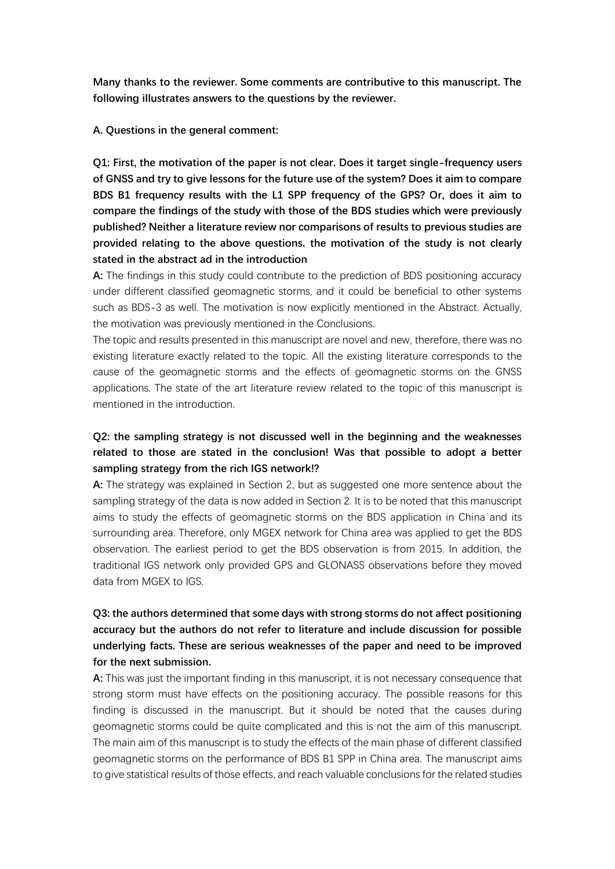**Many thanks to the reviewer. Some comments are contributive to this manuscript. The following illustrates answers to the questions by the reviewer.** 

#### **A. Questions in the general comment:**

**Q1: First, the motivation of the paper is not clear. Does it target single-frequency users of GNSS and try to give lessons for the future use of the system? Does it aim to compare BDS B1 frequency results with the L1 SPP frequency of the GPS? Or, does it aim to compare the findings of the study with those of the BDS studies which were previously published? Neither a literature review nor comparisons of results to previous studies are provided relating to the above questions. the motivation of the study is not clearly stated in the abstract ad in the introduction**

**A:** The findings in this study could contribute to the prediction of BDS positioning accuracy under different classified geomagnetic storms, and it could be beneficial to other systems such as BDS-3 as well. The motivation is now explicitly mentioned in the Abstract. Actually, the motivation was previously mentioned in the Conclusions.

The topic and results presented in this manuscript are novel and new, therefore, there was no existing literature exactly related to the topic. All the existing literature corresponds to the cause of the geomagnetic storms and the effects of geomagnetic storms on the GNSS applications. The state of the art literature review related to the topic of this manuscript is mentioned in the introduction.

## **Q2: the sampling strategy is not discussed well in the beginning and the weaknesses related to those are stated in the conclusion! Was that possible to adopt a better sampling strategy from the rich IGS network!?**

**A:** The strategy was explained in Section 2, but as suggested one more sentence about the sampling strategy of the data is now added in Section 2. It is to be noted that this manuscript aims to study the effects of geomagnetic storms on the BDS application in China and its surrounding area. Therefore, only MGEX network for China area was applied to get the BDS observation. The earliest period to get the BDS observation is from 2015. In addition, the traditional IGS network only provided GPS and GLONASS observations before they moved data from MGEX to IGS.

# **Q3: the authors determined that some days with strong storms do not affect positioning accuracy but the authors do not refer to literature and include discussion for possible underlying facts. These are serious weaknesses of the paper and need to be improved for the next submission.**

**A:** This was just the important finding in this manuscript, it is not necessary consequence that strong storm must have effects on the positioning accuracy. The possible reasons for this finding is discussed in the manuscript. But it should be noted that the causes during geomagnetic storms could be quite complicated and this is not the aim of this manuscript. The main aim of this manuscript is to study the effects of the main phase of different classified geomagnetic storms on the performance of BDS B1 SPP in China area. The manuscript aims to give statistical results of those effects, and reach valuable conclusions for the related studies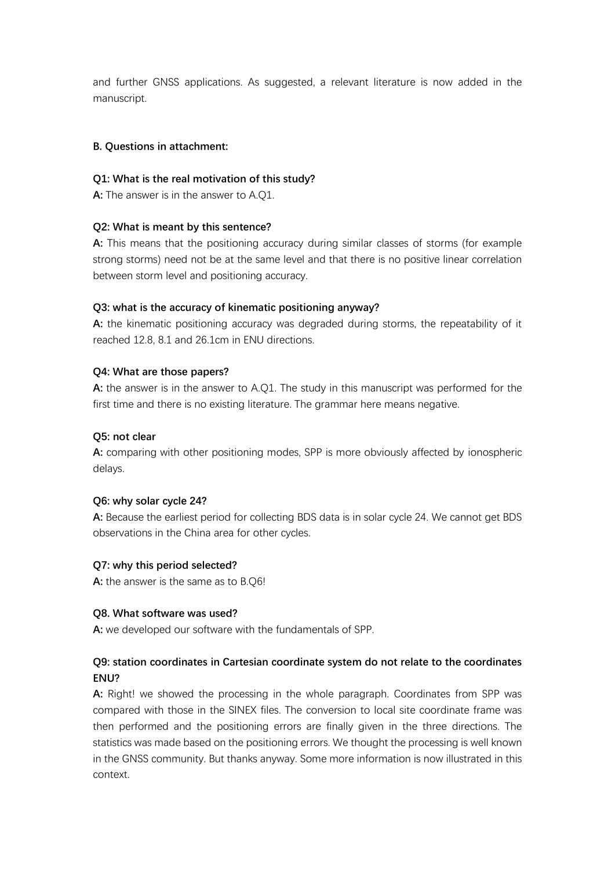and further GNSS applications. As suggested, a relevant literature is now added in the manuscript.

### **B. Questions in attachment:**

### **Q1: What is the real motivation of this study?**

**A:** The answer is in the answer to A.Q1.

### **Q2: What is meant by this sentence?**

**A:** This means that the positioning accuracy during similar classes of storms (for example strong storms) need not be at the same level and that there is no positive linear correlation between storm level and positioning accuracy.

### **Q3: what is the accuracy of kinematic positioning anyway?**

**A:** the kinematic positioning accuracy was degraded during storms, the repeatability of it reached 12.8, 8.1 and 26.1cm in ENU directions.

### **Q4: What are those papers?**

**A:** the answer is in the answer to A.Q1. The study in this manuscript was performed for the first time and there is no existing literature. The grammar here means negative.

### **Q5: not clear**

**A:** comparing with other positioning modes, SPP is more obviously affected by ionospheric delays.

### **Q6: why solar cycle 24?**

**A:** Because the earliest period for collecting BDS data is in solar cycle 24. We cannot get BDS observations in the China area for other cycles.

### **Q7: why this period selected?**

**A:** the answer is the same as to B.Q6!

### **Q8. What software was used?**

**A:** we developed our software with the fundamentals of SPP.

## **Q9: station coordinates in Cartesian coordinate system do not relate to the coordinates ENU?**

**A:** Right! we showed the processing in the whole paragraph. Coordinates from SPP was compared with those in the SINEX files. The conversion to local site coordinate frame was then performed and the positioning errors are finally given in the three directions. The statistics was made based on the positioning errors. We thought the processing is well known in the GNSS community. But thanks anyway. Some more information is now illustrated in this context.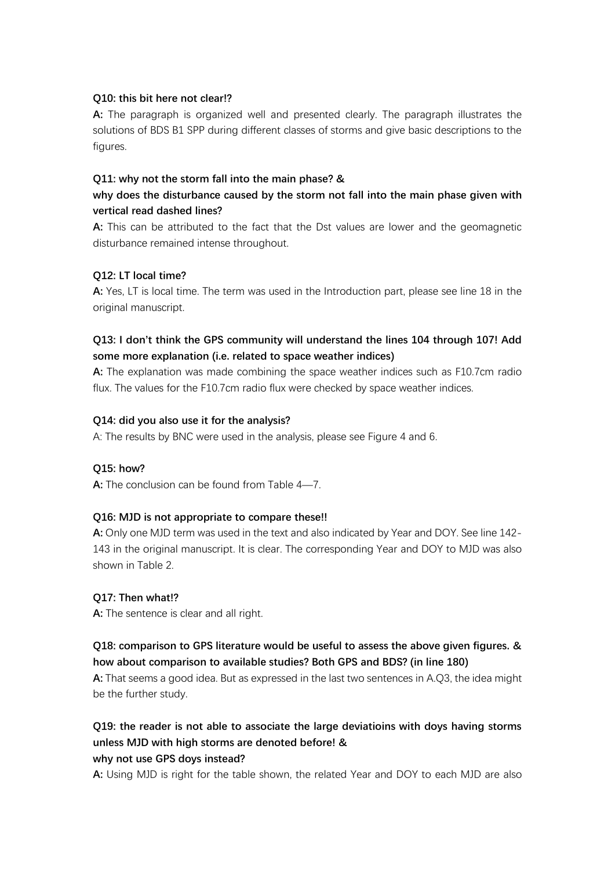### **Q10: this bit here not clear!?**

**A:** The paragraph is organized well and presented clearly. The paragraph illustrates the solutions of BDS B1 SPP during different classes of storms and give basic descriptions to the figures.

## **Q11: why not the storm fall into the main phase? &**

# **why does the disturbance caused by the storm not fall into the main phase given with vertical read dashed lines?**

**A:** This can be attributed to the fact that the Dst values are lower and the geomagnetic disturbance remained intense throughout.

### **Q12: LT local time?**

**A:** Yes, LT is local time. The term was used in the Introduction part, please see line 18 in the original manuscript.

## **Q13: I don't think the GPS community will understand the lines 104 through 107! Add some more explanation (i.e. related to space weather indices)**

**A:** The explanation was made combining the space weather indices such as F10.7cm radio flux. The values for the F10.7cm radio flux were checked by space weather indices.

### **Q14: did you also use it for the analysis?**

A: The results by BNC were used in the analysis, please see Figure 4 and 6.

## **Q15: how?**

**A:** The conclusion can be found from Table 4—7.

## **Q16: MJD is not appropriate to compare these!!**

**A:** Only one MJD term was used in the text and also indicated by Year and DOY. See line 142- 143 in the original manuscript. It is clear. The corresponding Year and DOY to MJD was also shown in Table 2.

### **Q17: Then what!?**

**A:** The sentence is clear and all right.

## **Q18: comparison to GPS literature would be useful to assess the above given figures. & how about comparison to available studies? Both GPS and BDS? (in line 180)**

**A:** That seems a good idea. But as expressed in the last two sentences in A.Q3, the idea might be the further study.

## **Q19: the reader is not able to associate the large deviatioins with doys having storms unless MJD with high storms are denoted before! & why not use GPS doys instead?**

**A:** Using MJD is right for the table shown, the related Year and DOY to each MJD are also